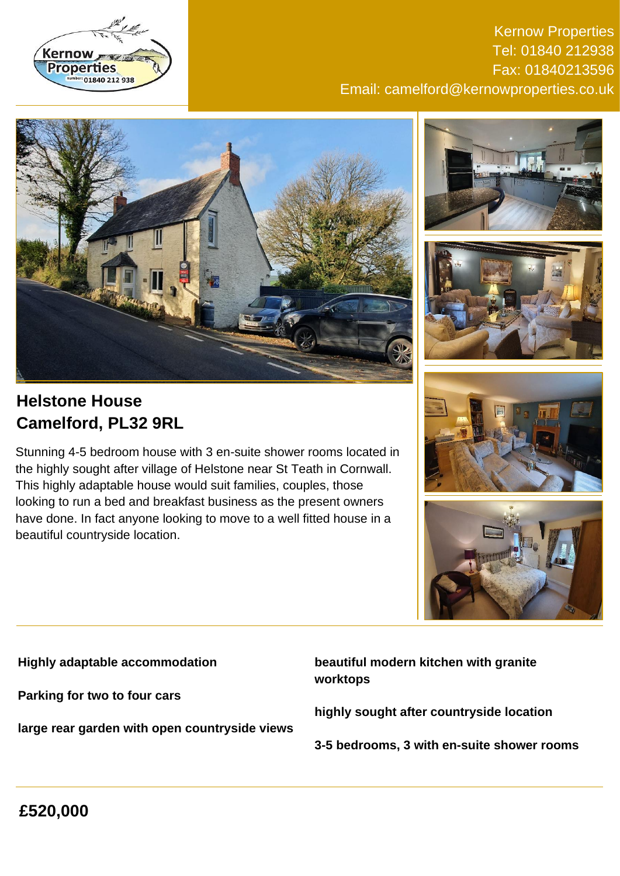

## Kernow Properties Tel: 01840 212938 Fax: 01840213596 Email: camelford@kernowproperties.co.uk







# **Helstone House Camelford, PL32 9RL**

Stunning 4-5 bedroom house with 3 en-suite shower rooms located in the highly sought after village of Helstone near St Teath in Cornwall. This highly adaptable house would suit families, couples, those looking to run a bed and breakfast business as the present owners have done. In fact anyone looking to move to a well fitted house in a beautiful countryside location.





**Highly adaptable accommodation**

**Parking for two to four cars**

**large rear garden with open countryside views**

**beautiful modern kitchen with granite worktops**

**highly sought after countryside location**

**3-5 bedrooms, 3 with en-suite shower rooms**